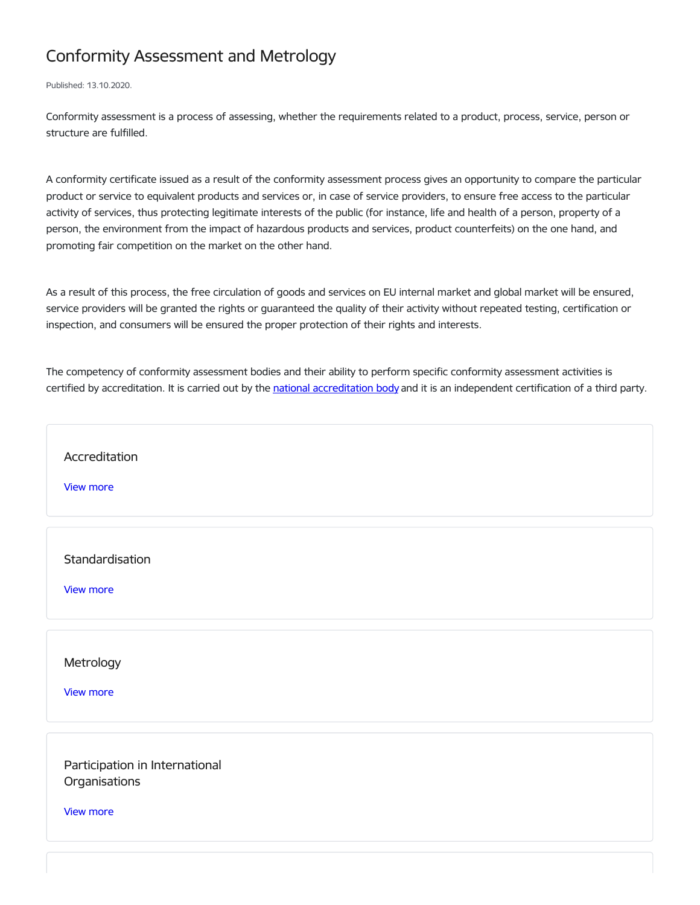## Conformity Assessment and Metrology

Published: 13.10.2020.

Conformity assessment is a process of assessing, whether the requirements related to a product, process, service, person or structure are fulfilled.

A conformity certificate issued as a result of the conformity assessment process gives an opportunity to compare the particular product or service to equivalent products and services or, in case of service providers, to ensure free access to the particular activity of services, thus protecting legitimate interests of the public (for instance, life and health of a person, property of a person, the environment from the impact of hazardous products and services, product counterfeits) on the one hand, and promoting fair competition on the market on the other hand.

As a result of this process, the free circulation of goods and services on EU internal market and global market will be ensured, service providers will be granted the rights or guaranteed the quality of their activity without repeated testing, certification or inspection, and consumers will be ensured the proper protection of their rights and interests.

The competency of conformity assessment bodies and their ability to perform specific conformity assessment activities is certified by [accreditation](http://www.latak.lv/lv/akredit%25C4%2581cija). It is carried out by the national accreditation body and it is an independent certification of a third party.

[Accreditation](https://www.em.gov.lv/en/accreditation) View [more](https://www.em.gov.lv/en/accreditation) **[Standardisation](https://www.em.gov.lv/en/standardisation)** View [more](https://www.em.gov.lv/en/standardisation) [Metrology](https://www.em.gov.lv/en/metrology) View [more](https://www.em.gov.lv/en/metrology)

Participation in International **[Organisations](https://www.em.gov.lv/en/participation-international-organisations)** 

View [more](https://www.em.gov.lv/en/participation-international-organisations)